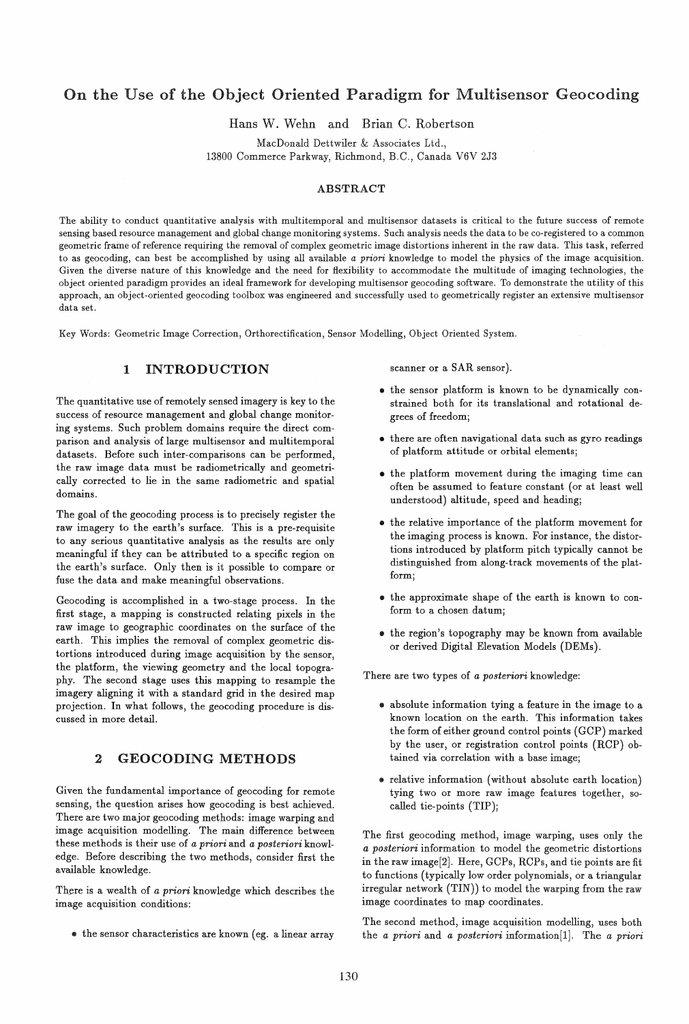# On the Use of the Object Oriented Paradigm for Multisensor Geocoding

Hans W. Wehn and Brian C. Robertson

MacDonald Dettwiler & Associates Ltd.,

13800 Commerce Parkway, Richmond, B.C., Canada V6V 2J3

#### ABSTRACT

The ability to conduct quantitative analysis with multitemporal and multisensor datasets is critical to the future success of remote sensing based resource management and global change monitoring systems. Such analysis needs the data to be co-registered to a common geometric frame of reference requiring the removal of complex geometric image distortions inherent in the raw data. This task, referred to as geocoding, can best be accomplished by using all available *a priori* knowledge to model the physics of the image acquisition. Given the diverse nature of this knowledge and the need for flexibility to accommodate the multitude of imaging technologies, the object oriented paradigm provides an ideal framework for developing multisensor geocoding software. To demonstrate the utility of this approach, an object-oriented geocoding toolbox was engineered and successfully used to geometrically register an extensive multisensor data set.

Key Words: Geometric Image Correction, Orthorectification, Sensor Modelling, Object Oriented System.

#### 1 INTRODUCTION

The quantitative use of remotely sensed imagery is key to the success of resource management and global change monitoring systems. Such problem domains require the direct comparison and analysis of large multisensor and multitemporal datasets. Before such inter-comparisons can be performed, the raw image data must be radiometrically and geometrically corrected to lie in the same radiometric and spatial domains.

The goal of the geocoding process is to precisely register the raw imagery to the earth's surface. This is a pre-requisite to any serious quantitative analysis as the results are only meaningful if they can be attributed to a specific region on the earth's surface. Only then is it possible to compare or fuse the data and make meaningful observations.

Geocoding is accomplished in a two-stage process. In the first stage, a mapping is constructed relating pixels in the raw image to geographic coordinates on the surface of the earth. This implies the removal of complex geometric distortions introduced during image acquisition by the sensor, the platform, the viewing geometry and the local topography. The second stage uses this mapping to resample the imagery aligning it with a standard grid in the desired map projection. In what follows, the geocoding procedure is discussed in more detail.

## 2 GEOCODING METHODS

Given the fundamental importance of geocoding for remote sensing, the question arises how geocoding is best achieved. There are two major geocoding methods: image warping and image acquisition modelling. The main difference between these methods is their use of *a priori* and *a posteriori* knowledge. Before describing the two methods, consider first the available knowledge.

There is a wealth of *a priori* knowledge which describes the image acquisition conditions:

• the sensor characteristics are known (eg. a linear array

scanner or a SAR sensor).

- the sensor platform is known to be dynamically constrained both for its translational and rotational degrees of freedom;
- there are often navigational data such as gyro readings of platform attitude or orbital elements;
- the platform movement during the imaging time can often be assumed to feature constant (or at least well understood) altitude, speed and heading;
- the relative importance of the platform movement for the imaging process is known. For instance, the distortions introduced by platform pitch typically cannot be distinguished from along-track movements of the platform;
- $\bullet$  the approximate shape of the earth is known to conform to a chosen datum;
- $\bullet$  the region's topography may be known from available or derived Digital Elevation Models (DEMs).

There are two types of *a posteriori* knowledge:

- .. absolute information tying a feature in the image to a known location on the earth. This information takes the form of either ground control points (GCP) marked by the user, or registration control points (RCP) obtained via correlation with a base image;
- relative information (without absolute earth location) tying two or more raw image features together, socalled tie-points (TIP);

The first geocoding method, image warping, uses only the *a posteriori* information to model the geometric distortions in the raw image[2]. Here, GCPs, RCPs, and tie points are fit to functions (typically low order polynomials, or a triangular irregular network (TIN)) to model the warping from the raw image coordinates to map coordinates.

The second method, image acquisition modelling, uses both the *a priori* and *a posteriori* information[l]. The *a priori*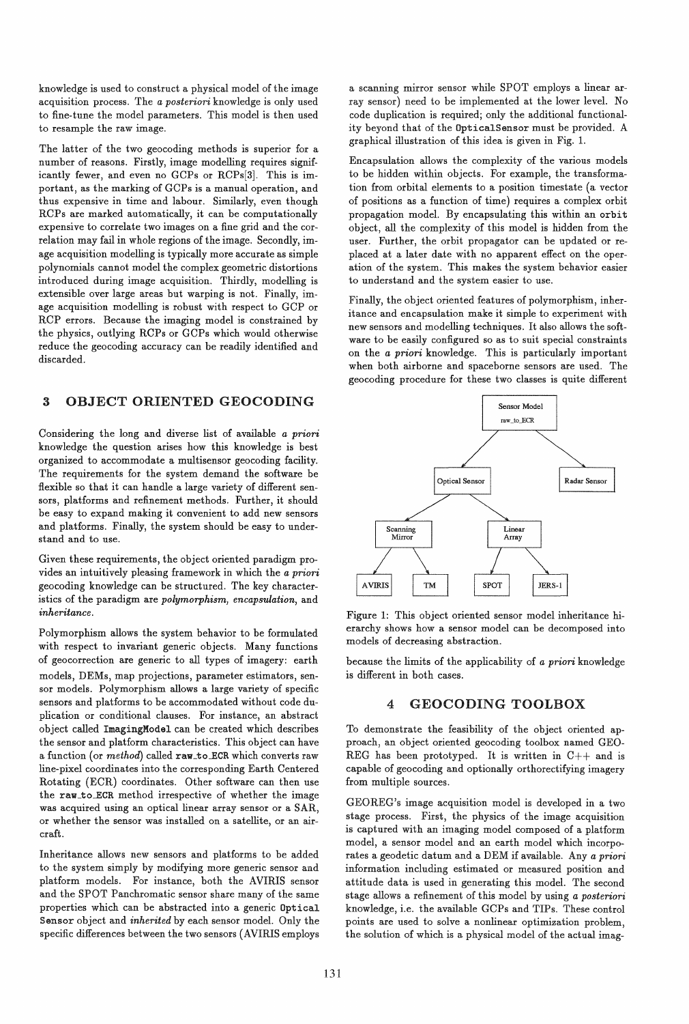knowledge is used to construct a physical model of the image acquisition process. The *a posteriori* knowledge is only used to fine-tune the model parameters. This model is then used to resample the raw image.

The latter of the two geocoding methods is superior for a number of reasons. Firstly, image modelling requires significantly fewer, and even no GCPs or RCPs[3]. This is important, as the marking of GCPs is a manual operation, and thus expensive in time and labour. Similarly, even though RCPs are marked automatically, it can be computationally expensive to correlate two images on a fine grid and the correlation may fail in whole regions of the image. Secondly, image acquisition modelling is typically more accurate as simple polynomials cannot model the complex geometric distortions introduced during image acquisition. Thirdly, modelling is extensible over large areas but warping is not. Finally, image acquisition modelling is robust with respect to GCP or RCP errors. Because the imaging model is constrained by the physics, outlying RCPs or GCPs which would otherwise reduce the geocoding accuracy can be readily identified and discarded.

## 3 OBJECT ORIENTED GEOCODING

Considering the long and diverse list of available *a priori*  knowledge the question arises how this knowledge is best organized to accommodate a multisensor geocoding facility. The requirements for the system demand the software be flexible so that it can handle a large variety of different sensors, platforms and refinement methods. Further, it should be easy to expand making it convenient to add new sensors and platforms. Finally, the system should be easy to understand and to use.

Given these requirements, the object oriented paradigm provides an intuitively pleasing framework in which the *a priori*  geocoding knowledge can be structured. The key characteristics of the paradigm are *polymorphism) encapsulation,* and *inheritance.* 

Polymorphism allows the system behavior to be formulated with respect to invariant generic objects. Many functions of geocorrection are generic to all types of imagery: earth models, DEMs, map projections, parameter estimators, sensor models. Polymorphism allows a large variety of specific sensors and platforms to be accommodated without code duplication or conditional clauses. For instance, an abstract object called ImagingModel can be created which describes the sensor and platform characteristics. This object can have a function (or *method*) called raw\_to\_ECR which converts raw line-pixel coordinates into the corresponding Earth Centered Rotating (ECR) coordinates. Other software can then use the raw\_to\_ECR method irrespective of whether the image was acquired using an optical linear array sensor or a SAR, or whether the sensor was installed on a satellite, or an aircraft.

Inheritance allows new sensors and platforms to be added to the system simply by modifying more generic sensor and platform models. For instance, both the AVIRIS sensor and the SPOT Panchromatic sensor share many of the same properties which can be abstracted into a generic Optical Sensor object and *inherited* by each sensor model. Only the specific differences between the two sensors (AVIRIS employs

a scanning mirror sensor while SPOT employs a linear array sensor) need to be implemented at the lower level. No code duplication is required; only the additional functionality beyond that of the OpticalSensor must be provided. A graphical illustration of this idea is given in Fig. 1.

Encapsulation allows the complexity of the various models to be hidden within objects. For example, the transformation from orbital elements to a position timestate (a vector of positions as a function of time) requires a complex orbit propagation model. By encapsulating this within an orbit object, all the complexity of this model is hidden from the user. Further, the orbit propagator can be updated or replaced at a later date with no apparent effect on the operation of the system. This makes the system behavior easier to understand and the system easier to use.

Finally, the object oriented features of polymorphism, inheritance and encapsulation make it simple to experiment with new sensors and modelling techniques. It also allows the software to be easily configured so as to suit special constraints on the *a priori* knowledge. This is particularly important when both airborne and spaceborne sensors are used. The geocoding procedure for these two classes is quite different



Figure 1: This object oriented sensor model inheritance hierarchy shows how a sensor model can be decomposed into models of decreasing abstraction.

because the limits of the applicability of *a priori* knowledge is different in both cases.

### 4 GEOCODING TOOLBOX

To demonstrate the feasibility of the object oriented approach, an object oriented geocoding toolbox named GEO-REG has been prototyped. It is written in  $C++$  and is capable of geocoding and optionally orthorectifying imagery from multiple sources.

GEOREG's image acquisition model is developed in a two stage process. First, the physics of the image acquisition is captured with an imaging model composed of a platform model, a sensor model and an earth model which incorporates a geodetic datum and a DEM if available. Any *a priori*  information including estimated or measured position and attitude data is used in generating this model. The second stage allows a refinement of this model by using *a posteriori*  knowledge, i.e. the available GCPs and TIPs. These control points are used to solve a nonlinear optimization problem, the solution of which is a physical model of the actual imag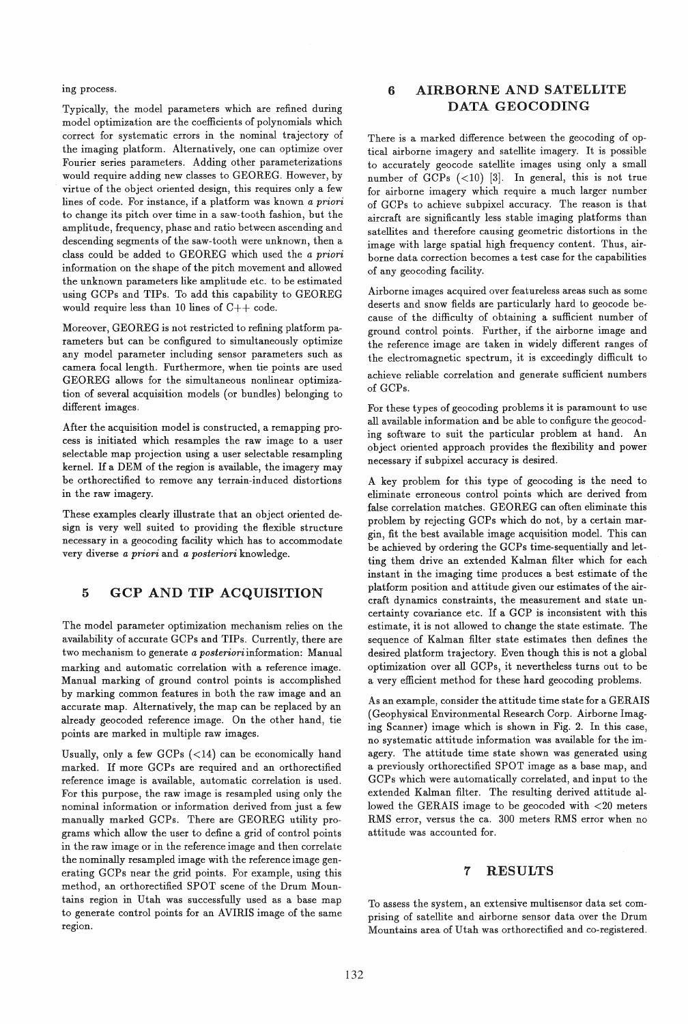ing process.

Typically, the model parameters which are refined during model optimization are the coefficients of polynomials which correct for systematic errors in the nominal trajectory of the imaging platform. Alternatively, one can optimize over Fourier series parameters. Adding other parameterizations would require adding new classes to GEOREG. However, by virtue of the object oriented design, this requires only a few lines of code. For instance, if a platform was known *a priori*  to change its pitch over time in a saw-tooth fashion, but the amplitude, frequency, phase and ratio between ascending and descending segments of the saw-tooth were unknown, then a class could be added to GEOREG which used the *a priori*  information on the shape of the pitch movement and allowed the unknown parameters like amplitude etc. to be estimated using GCPs and TIPs. To add this capability to GEOREG would require less than 10 lines of C++ code.

Moreover, GEOREG is not restricted to refining platform parameters but can be configured to simultaneously optimize any model parameter including sensor parameters such as camera focal length. Furthermore, when tie points are used GEOREG allows for the simultaneous nonlinear optimization of several acquisition models (or bundles) belonging to different images.

After the acquisition model is constructed, a remapping process is initiated which resamples the raw image to a user selectable map projection using a user selectable resampling kernel. If a DEM of the region is available, the imagery may be orthorectified to remove any terrain-induced distortions in the raw imagery.

These examples clearly illustrate that an object oriented design is very well suited to providing the flexible structure necessary in a geocoding facility which has to accommodate very diverse *a priori* and *a posteriori* knowledge.

### 5 GCP AND TIP ACQUISITION

The model parameter optimization mechanism relies on the availability of accurate GCPs and TIPs. Currently, there are two mechanism to generate *a posteriori* information: Manual marking and automatic correlation with a reference image. Manual marking of ground control points is accomplished by marking common features in both the raw image and an accurate map. Alternatively, the map can be replaced by an already geocoded reference image. On the other hand, tie points are marked in multiple raw images.

Usually, only a few GCPs  $(<14)$  can be economically hand marked. If more GCPs are required and an orthorectified reference image is available, automatic correlation is used. For this purpose, the raw image is resampled using only the nominal information or information derived from just a few manually marked GCPs. There are GEOREG utility programs which allow the user to define a grid of control points in the raw image or in the reference image and then correlate the nominally resampled image with the reference image generating GCPs near the grid points. For example, using this method, an orthorectified SPOT scene of the Drum Mountains region in Utah was successfully used as a base map to generate control points for an AVIRIS image of the same region.

## 6 AIRBORNE AND SATELLITE DATA GEOCODING

There is a marked difference between the geocoding of optical airborne imagery and satellite imagery. It is possible to accurately geocode satellite images using only a small number of GCPs  $(<10)$  [3]. In general, this is not true for airborne imagery which require a much larger number of GCPs to achieve subpixel accuracy. The reason is that aircraft are significantly less stable imaging platforms than satellites and therefore causing geometric distortions in the image with large spatial high frequency content. Thus, airborne data correction becomes a test case for the capabilities of any geocoding facility.

Airborne images acquired over featureless areas such as some deserts and snow fields are particularly hard to geocode because of the difficulty of obtaining a sufficient number of ground control points. Further, if the airborne image and the reference image are taken in widely different ranges of the electromagnetic spectrum, it is exceedingly difficult to

achieve reliable correlation and generate sufficient numbers of GCPs.

For these types of geocoding problems it is paramount to use all available information and be able to configure the geocoding software to suit the particular problem at hand. An object oriented approach provides the flexibility and power necessary if subpixel accuracy is desired.

A key problem for this type of geocoding is the need to eliminate erroneous control points which are derived from false correlation matches. GEOREG can often eliminate this problem by rejecting GCPs which do not, by a certain margin, fit the best available image acquisition model. This can be achieved by ordering the GCPs time-sequentially and letting them drive an extended Kalman filter which for each instant in the imaging time produces a best estimate of the platform position and attitude given our estimates of the aircraft dynamics constraints, the measurement and state uncertainty covariance etc. If a GCP is inconsistent with this estimate, it is not allowed to change the state estimate. The sequence of Kalman filter state estimates then defines the desired platform trajectory. Even though this is not a global optimization over all GCPs, it nevertheless turns out to be a very efficient method for these hard geocoding problems.

As an example, consider the attitude time state for a GERAIS (Geophysical Environmental Research Corp. Airborne Imaging Scanner) image which is shown in Fig. 2. In this case, no systematic attitude information was available for the imagery. The attitude time state shown was generated using a previously orthorectified SPOT image as a base map, and GCPs which were automatically correlated, and input to the extended Kalman filter. The resulting derived attitude allowed the GERAIS image to be geocoded with <20 meters RMS error, versus the ca. 300 meters RMS error when no attitude was accounted for.

#### 7 RESULTS

To assess the system, an extensive multisensor data set comprising of satellite and airborne sensor data over the Drum Mountains area of Utah was orthorectified and co-registered.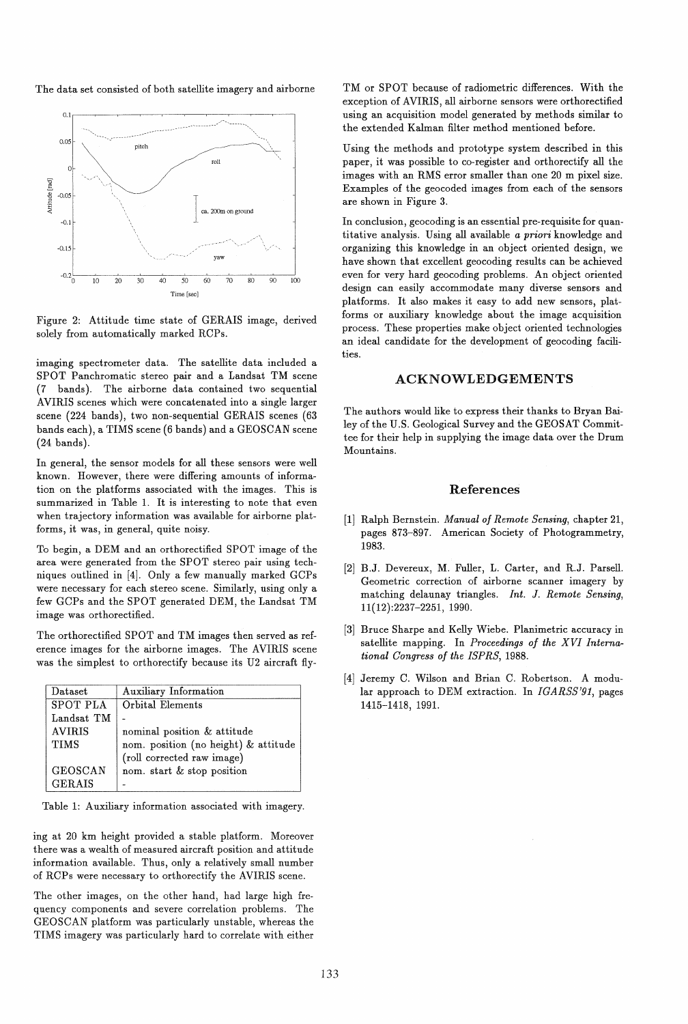The data set consisted of both satellite imagery and airborne



Figure 2: Attitude time state of GERAIS image, derived solely from automatically marked RCPs.

imaging spectrometer data. The satellite data included a SPOT Panchromatic stereo pair and a Landsat TM scene (7 bands). The airborne data contained two sequential AVIRIS scenes which were concatenated into a single larger scene (224 bands), two non-sequential GERAIS scenes (63 bands each), a TIMS scene (6 bands) and a GEOSCAN scene (24 bands).

In general, the sensor models for all these sensors were well known. However, there were differing amounts of information on the platforms associated with the images. This is summarized in Table 1. It is interesting to note that even when trajectory information was available for airborne platforms, it was, in general, quite noisy.

To begin, a DEM and an orthorectified SPOT image of the area were generated from the SPOT stereo pair using techniques outlined in [4]. Only a few manually marked GCPs were necessary for each stereo scene. Similarly, using only a few GCPs and the SPOT generated DEM, the Landsat TM image was orthorectified.

The orthorectified SPOT and TM images then served as reference images for the airborne images. The AVIRIS scene was the simplest to orthorectify because its U2 aircraft fly-

| $\mathbf{D}\mathbf{at }$ aset | Auxiliary Information                |
|-------------------------------|--------------------------------------|
| <b>SPOT PLA</b>               | Orbital Elements                     |
| Landsat TM                    |                                      |
| <b>AVIRIS</b>                 | nominal position & attitude          |
| <b>TIMS</b>                   | nom. position (no height) & attitude |
|                               | (roll corrected raw image)           |
| <b>GEOSCAN</b>                | nom. start & stop position           |
| <b>GERAIS</b>                 |                                      |

Table 1: Auxiliary information associated with imagery.

ing at 20 km height provided a stable platform. Moreover there was a wealth of measured aircraft position and attitude information available. Thus, only a relatively small number of RCPs were necessary to orthorectify the AVIRIS scene.

The other images, on the other hand, had large high frequency components and severe correlation problems. The GEOSCAN platform was particularly unstable, whereas the TIMS imagery was particularly hard to correlate with either TM or SPOT because of radiometric differences. With the exception of AVIRIS, all airborne sensors were orthorectified using an acquisition model generated by methods similar to the extended Kalman filter method mentioned before.

Using the methods and prototype system described in this paper, it was possible to co-register and orthorectify all the images with an RMS error smaller than one 20 m pixel size. Examples of the geocoded images from each of the sensors are shown in Figure 3.

In conclusion, geocoding is an essential pre-requisite for quantitative analysis. Using all available *a priori* knowledge and organizing this knowledge in an object oriented design, we have shown that excellent geocoding results can be achieved even for very hard geocoding problems. An object oriented design can easily accommodate many diverse sensors and platforms. It also makes it easy to add new sensors, platforms or auxiliary knowledge about the image acquisition process. These properties make object oriented technologies an ideal candidate for the development of geocoding facilities.

### ACKNOWLEDGEMENTS

The authors would like to express their thanks to Bryan Bailey of the U.S. Geological Survey and the GEOSAT Committee for their help in supplying the image data over the Drum Mountains.

#### References

- [1] Ralph Bernstein. *Manual of Remote Sensing,* chapter 21, pages 873-897. American Society of Photogrammetry, 1983.
- [2] B.J. Devereux, M. Fuller, L. Carter, and R.J. Parsell. Geometric correction of airborne scanner imagery by matching delaunay triangles. *Int. 1. Remote Sensing,*  11(12):2237-2251, 1990.
- [3] Bruce Sharpe and Kelly Wiebe. Planimetric accuracy in satellite mapping. In *Proceedings of the XVI International Congress of the ISPRS, 1988.*
- [4] Jeremy C. Wilson and Brian C. Robertson. A modular approach to DEM extraction. In *IGARSS'91,* pages 1415-1418, 1991.